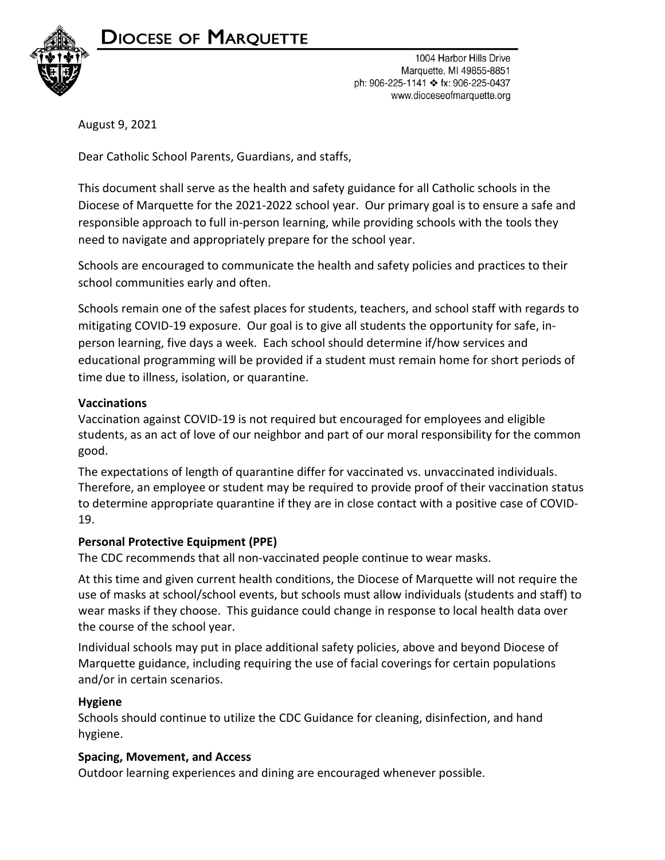

# DIOCESE OF MARQUETTE

1004 Harbor Hills Drive Marquette, MI 49855-8851 ph: 906-225-1141 ❖ fx: 906-225-0437 www.dioceseofmarquette.org

August 9, 2021

Dear Catholic School Parents, Guardians, and staffs,

This document shall serve as the health and safety guidance for all Catholic schools in the Diocese of Marquette for the 2021-2022 school year. Our primary goal is to ensure a safe and responsible approach to full in-person learning, while providing schools with the tools they need to navigate and appropriately prepare for the school year.

Schools are encouraged to communicate the health and safety policies and practices to their school communities early and often.

Schools remain one of the safest places for students, teachers, and school staff with regards to mitigating COVID-19 exposure. Our goal is to give all students the opportunity for safe, inperson learning, five days a week. Each school should determine if/how services and educational programming will be provided if a student must remain home for short periods of time due to illness, isolation, or quarantine.

# **Vaccinations**

Vaccination against COVID-19 is not required but encouraged for employees and eligible students, as an act of love of our neighbor and part of our moral responsibility for the common good.

The expectations of length of quarantine differ for vaccinated vs. unvaccinated individuals. Therefore, an employee or student may be required to provide proof of their vaccination status to determine appropriate quarantine if they are in close contact with a positive case of COVID-19.

# **Personal Protective Equipment (PPE)**

The CDC recommends that all non-vaccinated people continue to wear masks.

At this time and given current health conditions, the Diocese of Marquette will not require the use of masks at school/school events, but schools must allow individuals (students and staff) to wear masks if they choose. This guidance could change in response to local health data over the course of the school year.

Individual schools may put in place additional safety policies, above and beyond Diocese of Marquette guidance, including requiring the use of facial coverings for certain populations and/or in certain scenarios.

# **Hygiene**

Schools should continue to utilize the CDC Guidance for cleaning, disinfection, and hand hygiene.

# **Spacing, Movement, and Access**

Outdoor learning experiences and dining are encouraged whenever possible.